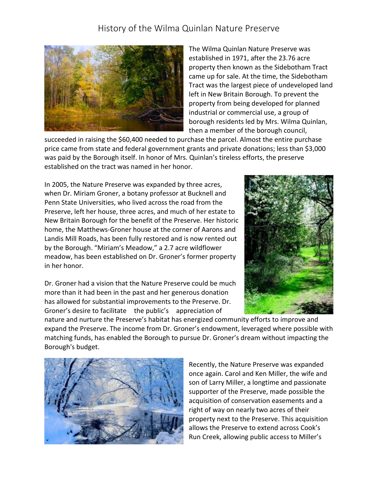## History of the Wilma Quinlan Nature Preserve



The Wilma Quinlan Nature Preserve was established in 1971, after the 23.76 acre property then known as the Sidebotham Tract came up for sale. At the time, the Sidebotham Tract was the largest piece of undeveloped land left in New Britain Borough. To prevent the property from being developed for planned industrial or commercial use, a group of borough residents led by Mrs. Wilma Quinlan, then a member of the borough council,

succeeded in raising the \$60,400 needed to purchase the parcel. Almost the entire purchase price came from state and federal government grants and private donations; less than \$3,000 was paid by the Borough itself. In honor of Mrs. Quinlan's tireless efforts, the preserve established on the tract was named in her honor.

In 2005, the Nature Preserve was expanded by three acres, when Dr. Miriam Groner, a botany professor at Bucknell and Penn State Universities, who lived across the road from the Preserve, left her house, three acres, and much of her estate to New Britain Borough for the benefit of the Preserve. Her historic home, the Matthews-Groner house at the corner of Aarons and Landis Mill Roads, has been fully restored and is now rented out by the Borough. "Miriam's Meadow," a 2.7 acre wildflower meadow, has been established on Dr. Groner's former property in her honor.



Dr. Groner had a vision that the Nature Preserve could be much more than it had been in the past and her generous donation has allowed for substantial improvements to the Preserve. Dr. Groner's desire to facilitate the public's appreciation of

nature and nurture the Preserve's habitat has energized community efforts to improve and expand the Preserve. The income from Dr. Groner's endowment, leveraged where possible with matching funds, has enabled the Borough to pursue Dr. Groner's dream without impacting the Borough's budget.



Recently, the Nature Preserve was expanded once again. Carol and Ken Miller, the wife and son of Larry Miller, a longtime and passionate supporter of the Preserve, made possible the acquisition of conservation easements and a right of way on nearly two acres of their property next to the Preserve. This acquisition allows the Preserve to extend across Cook's Run Creek, allowing public access to Miller's